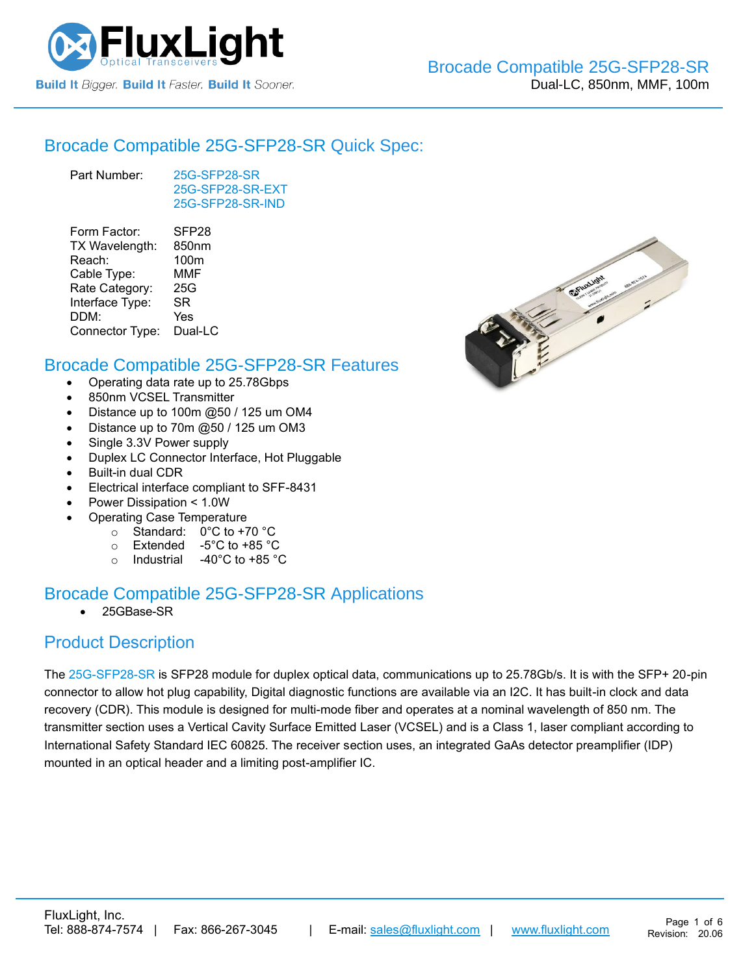

#### [Brocade Compatible](https://www.fluxlight.com/25g-sfp28-sr/) 25G-SFP28-SR Quick Spec:

Part Number: [25G-SFP28-SR](https://www.fluxlight.com/25g-sfp28-sr/) [25G-SFP28-SR-](https://www.fluxlight.com/25g-sfp28-sr/)EXT [25G-SFP28-SR-](https://www.fluxlight.com/25g-sfp28-sr/)IND

| Form Factor:    | SFP <sub>28</sub> |
|-----------------|-------------------|
| TX Wavelength:  | 850nm             |
| Reach:          | 100m              |
| Cable Type:     | <b>MMF</b>        |
| Rate Category:  | 25G               |
| Interface Type: | SR                |
| DDM:            | Yes               |
| Connector Type: | Dual-LC           |
|                 |                   |

#### [Brocade Compatible](https://www.fluxlight.com/25g-sfp28-sr/) 25G-SFP28-SR Features

- Operating data rate up to 25.78Gbps
- 850nm VCSEL Transmitter
- Distance up to 100m @50 / 125 um OM4
- Distance up to 70m @50 / 125 um OM3
- Single 3.3V Power supply
- Duplex LC Connector Interface, Hot Pluggable
- Built-in dual CDR
- Electrical interface compliant to SFF-8431
- Power Dissipation < 1.0W
	- Operating Case Temperature
		- o Standard: 0°C to +70 °C
		- o Extended -5°C to +85 °C
		- o Industrial  $-40^{\circ}$ C to  $+85^{\circ}$ C

## [Brocade Compatible](https://www.fluxlight.com/25g-sfp28-sr/) 25G-SFP28-SR Applications

• 25GBase-SR

### Product Description

The [25G-SFP28-SR](https://www.fluxlight.com/25g-sfp28-sr/) is SFP28 module for duplex optical data, communications up to 25.78Gb/s. It is with the SFP+ 20-pin connector to allow hot plug capability, Digital diagnostic functions are available via an I2C. It has built-in clock and data recovery (CDR). This module is designed for multi-mode fiber and operates at a nominal wavelength of 850 nm. The transmitter section uses a Vertical Cavity Surface Emitted Laser (VCSEL) and is a Class 1, laser compliant according to International Safety Standard IEC 60825. The receiver section uses, an integrated GaAs detector preamplifier (IDP) mounted in an optical header and a limiting post-amplifier IC.

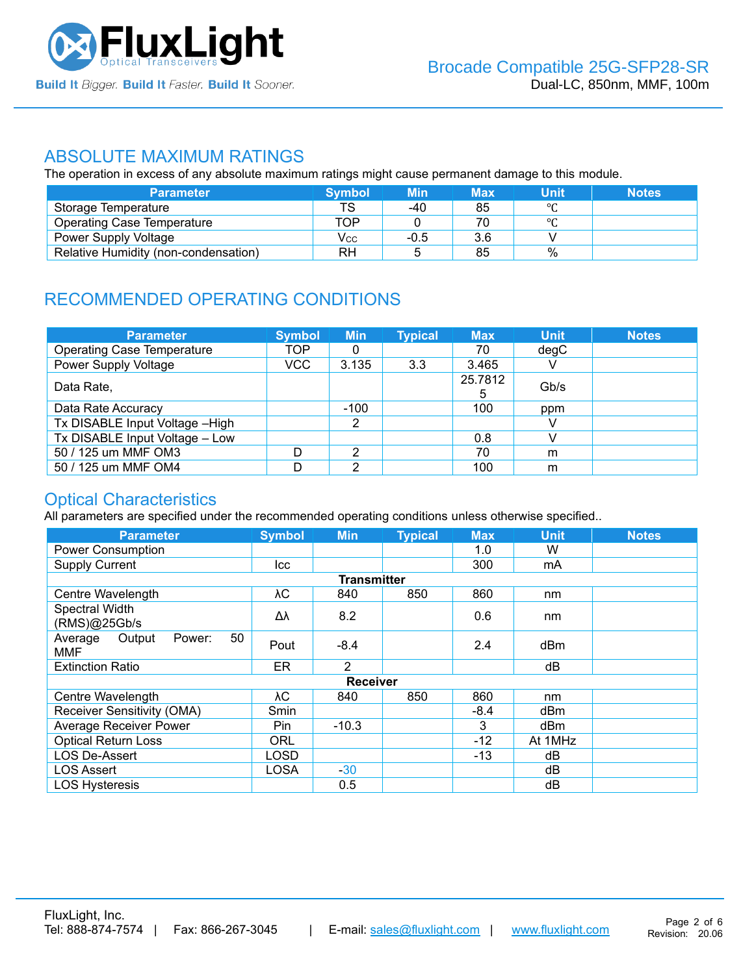

#### ABSOLUTE MAXIMUM RATINGS

The operation in excess of any absolute maximum ratings might cause permanent damage to this module.

| <b>Parameter</b>                     | <b>Symbol</b> | Min    | Max | Unit    | <b>Notes</b> |
|--------------------------------------|---------------|--------|-----|---------|--------------|
| Storage Temperature                  | тс            | -40    | 85  | $\circ$ |              |
| <b>Operating Case Temperature</b>    | TOP           |        | 70  | $\circ$ |              |
| Power Supply Voltage                 | Vcc           | $-0.5$ | 3.6 |         |              |
| Relative Humidity (non-condensation) | RH            |        | 85  | %       |              |

# RECOMMENDED OPERATING CONDITIONS

| <b>Parameter</b>                  | <b>Symbol</b> | <b>Min</b> | <b>Typical</b> | <b>Max</b> | <b>Unit</b> | <b>Notes</b> |
|-----------------------------------|---------------|------------|----------------|------------|-------------|--------------|
| <b>Operating Case Temperature</b> | TOP           | 0          |                | 70         | degC        |              |
| Power Supply Voltage              | VCC           | 3.135      | 3.3            | 3.465      |             |              |
| Data Rate,                        |               |            |                | 25.7812    | Gb/s        |              |
| Data Rate Accuracy                |               | $-100$     |                | 100        | ppm         |              |
| Tx DISABLE Input Voltage - High   |               | 2          |                |            |             |              |
| Tx DISABLE Input Voltage - Low    |               |            |                | 0.8        |             |              |
| 50 / 125 um MMF OM3               | D             | っ          |                | 70         | m           |              |
| 50 / 125 um MMF OM4               |               | റ          |                | 100        | m           |              |

#### Optical Characteristics

All parameters are specified under the recommended operating conditions unless otherwise specified..

| <b>Parameter</b>                                | <b>Symbol</b> | <b>Min</b>         | <b>Typical</b> | <b>Max</b> | <b>Unit</b>     | <b>Notes</b> |
|-------------------------------------------------|---------------|--------------------|----------------|------------|-----------------|--------------|
| <b>Power Consumption</b>                        |               |                    |                | 1.0        | W               |              |
| <b>Supply Current</b>                           | lcc.          |                    |                | 300        | mA              |              |
|                                                 |               | <b>Transmitter</b> |                |            |                 |              |
| Centre Wavelength                               | λС            | 840                | 850            | 860        | nm              |              |
| Spectral Width<br>(RMS)@25Gb/s                  | Δλ            | 8.2                |                | 0.6        | nm              |              |
| 50<br>Average<br>Output<br>Power:<br><b>MMF</b> | Pout          | $-8.4$             |                | 2.4        | dB <sub>m</sub> |              |
| <b>Extinction Ratio</b>                         | <b>ER</b>     | $\mathcal{P}$      |                |            | dB              |              |
|                                                 |               | Receiver           |                |            |                 |              |
| Centre Wavelength                               | λC            | 840                | 850            | 860        | nm              |              |
| Receiver Sensitivity (OMA)                      | Smin          |                    |                | $-8.4$     | dBm             |              |
| <b>Average Receiver Power</b>                   | Pin.          | $-10.3$            |                | 3          | dBm             |              |
| <b>Optical Return Loss</b>                      | <b>ORL</b>    |                    |                | -12        | At 1MHz         |              |
| <b>LOS De-Assert</b>                            | LOSD          |                    |                | -13        | dB              |              |
| <b>LOS Assert</b>                               | <b>LOSA</b>   | $-30$              |                |            | dB              |              |
| <b>LOS Hysteresis</b>                           |               | 0.5                |                |            | dB              |              |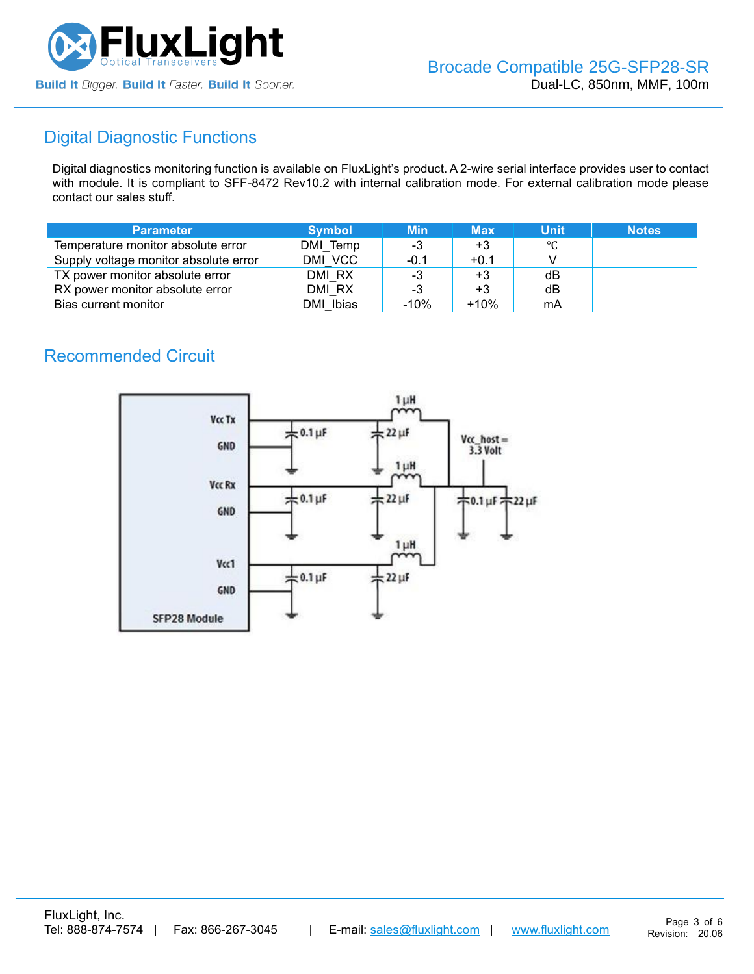

# Digital Diagnostic Functions

Digital diagnostics monitoring function is available on FluxLight's product. A 2-wire serial interface provides user to contact with module. It is compliant to SFF-8472 Rev10.2 with internal calibration mode. For external calibration mode please contact our sales stuff.

| <b>Parameter</b>                      | <b>Symbol</b> | <b>Min</b> | <b>Max</b> | Unit | <b>Notes</b> |
|---------------------------------------|---------------|------------|------------|------|--------------|
| Temperature monitor absolute error    | DMI Temp      | -3         | $+3$       | °C   |              |
| Supply voltage monitor absolute error | DMI VCC       | -0.1       | $+0.1$     |      |              |
| TX power monitor absolute error       | DMI RX        | -3         | $+3$       | dB   |              |
| RX power monitor absolute error       | DMI RX        | -3         | $+3$       | dB   |              |
| Bias current monitor                  | DMI Ibias     | $-10%$     | $+10%$     | mA   |              |

### Recommended Circuit

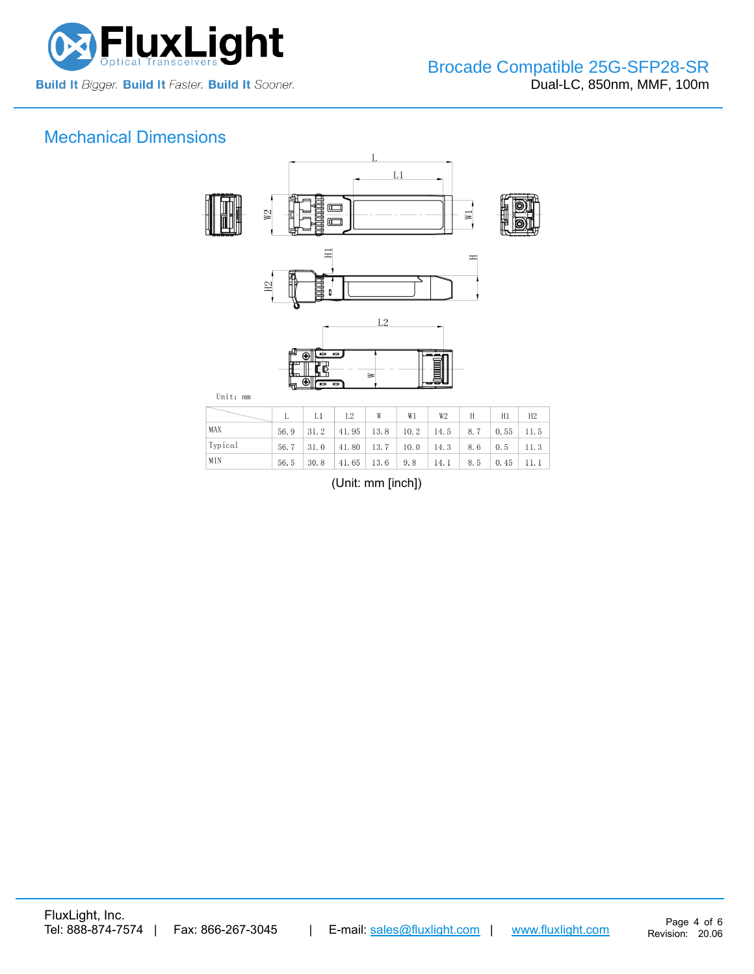

# Mechanical Dimensions



|         |      | $\lfloor L1 \rfloor \lfloor L2 \rfloor$                                                   | W | W1 | W2 | $H$ $\qquad$ | H1 | H2      |
|---------|------|-------------------------------------------------------------------------------------------|---|----|----|--------------|----|---------|
| MAX     | 56.9 | $\vert 31.2 \vert 41.95 \vert 13.8 \vert 10.2 \vert 14.5 \vert 8.7 \vert 0.55 \vert 11.5$ |   |    |    |              |    |         |
| Typical |      | $56.7$   31.0   41.80   13.7   10.0   14.3   8.6   0.5   11.3                             |   |    |    |              |    |         |
| MIN     | 56.5 | $\vert 30.8 \vert 41.65 \vert 13.6 \vert 9.8 \vert 14.1 \vert$                            |   |    |    | $8.5$ 0.45   |    | $-11.1$ |

(Unit: mm [inch])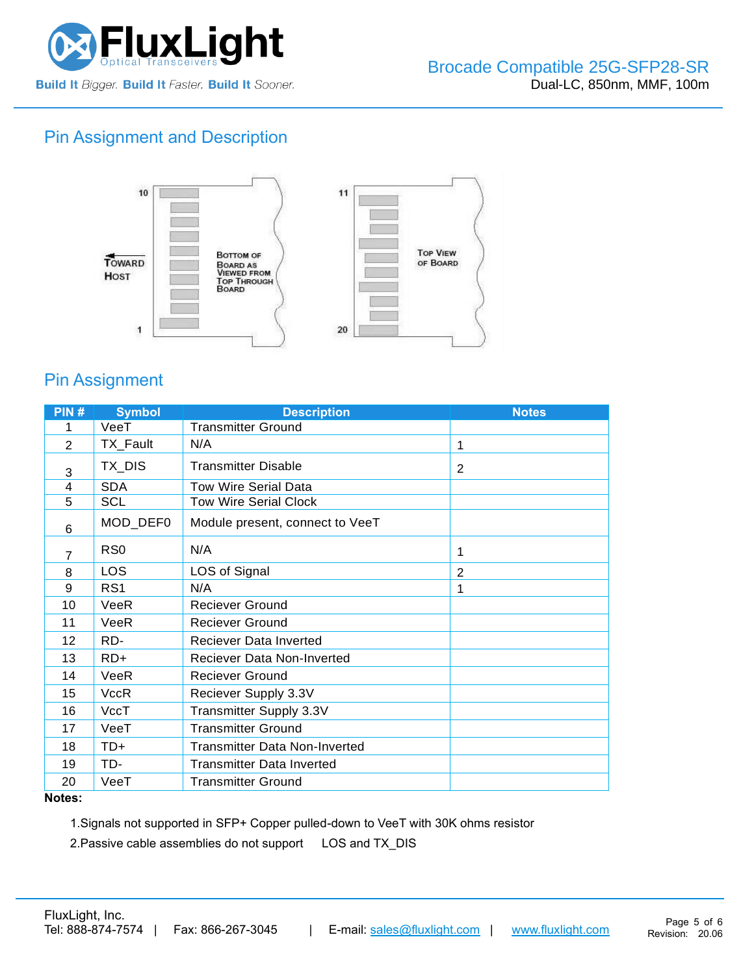

## Pin Assignment and Description



## Pin Assignment

| PIN# | <b>Symbol</b>   | <b>Description</b>                   | <b>Notes</b>   |
|------|-----------------|--------------------------------------|----------------|
| 1    | VeeT            | <b>Transmitter Ground</b>            |                |
| 2    | TX_Fault        | N/A                                  | 1              |
| 3    | TX_DIS          | <b>Transmitter Disable</b>           | 2              |
| 4    | <b>SDA</b>      | <b>Tow Wire Serial Data</b>          |                |
| 5    | <b>SCL</b>      | <b>Tow Wire Serial Clock</b>         |                |
| 6    | MOD_DEF0        | Module present, connect to VeeT      |                |
| 7    | R <sub>S0</sub> | N/A                                  | 1              |
| 8    | LOS             | LOS of Signal                        | $\overline{2}$ |
| 9    | RS <sub>1</sub> | N/A                                  | 1              |
| 10   | VeeR            | <b>Reciever Ground</b>               |                |
| 11   | VeeR            | <b>Reciever Ground</b>               |                |
| 12   | RD-             | <b>Reciever Data Inverted</b>        |                |
| 13   | $RD+$           | Reciever Data Non-Inverted           |                |
| 14   | VeeR            | <b>Reciever Ground</b>               |                |
| 15   | VccR            | Reciever Supply 3.3V                 |                |
| 16   | VccT            | Transmitter Supply 3.3V              |                |
| 17   | VeeT            | <b>Transmitter Ground</b>            |                |
| 18   | $TD+$           | <b>Transmitter Data Non-Inverted</b> |                |
| 19   | TD-             | <b>Transmitter Data Inverted</b>     |                |
| 20   | VeeT            | <b>Transmitter Ground</b>            |                |

#### **Notes:**

1.Signals not supported in SFP+ Copper pulled-down to VeeT with 30K ohms resistor

2. Passive cable assemblies do not support LOS and TX\_DIS